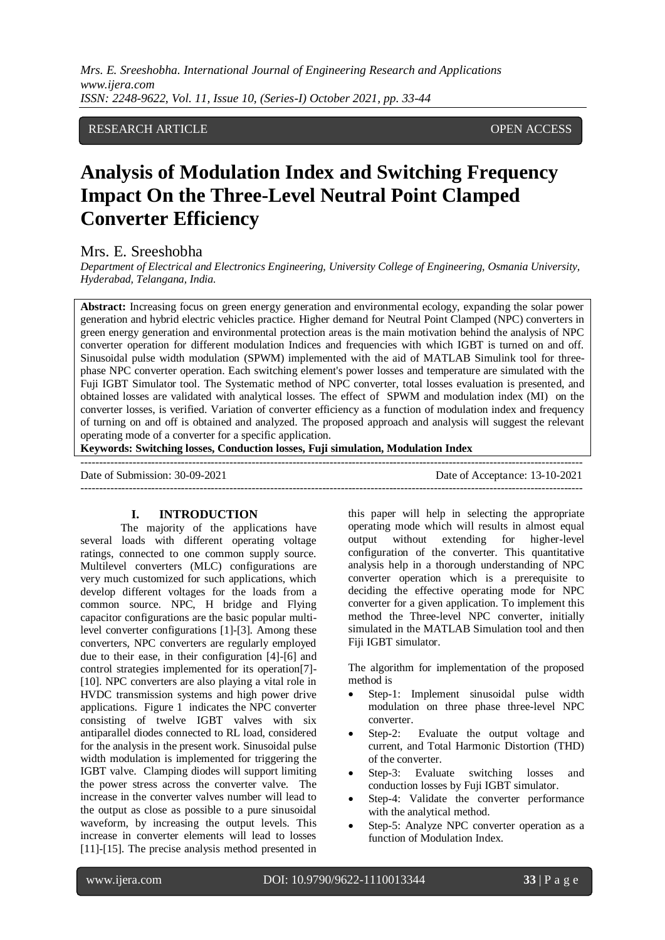RESEARCH ARTICLE OPEN ACCESS

# **Analysis of Modulation Index and Switching Frequency Impact On the Three-Level Neutral Point Clamped Converter Efficiency**

Mrs. E. Sreeshobha

*Department of Electrical and Electronics Engineering, University College of Engineering, Osmania University, Hyderabad, Telangana, India.*

**Abstract:** Increasing focus on green energy generation and environmental ecology, expanding the solar power generation and hybrid electric vehicles practice. Higher demand for Neutral Point Clamped (NPC) converters in green energy generation and environmental protection areas is the main motivation behind the analysis of NPC converter operation for different modulation Indices and frequencies with which IGBT is turned on and off. Sinusoidal pulse width modulation (SPWM) implemented with the aid of MATLAB Simulink tool for threephase NPC converter operation. Each switching element's power losses and temperature are simulated with the Fuji IGBT Simulator tool. The Systematic method of NPC converter, total losses evaluation is presented, and obtained losses are validated with analytical losses. The effect of SPWM and modulation index (MI) on the converter losses, is verified. Variation of converter efficiency as a function of modulation index and frequency of turning on and off is obtained and analyzed. The proposed approach and analysis will suggest the relevant operating mode of a converter for a specific application.

**Keywords: Switching losses, Conduction losses, Fuji simulation, Modulation Index**

 $-1.1$ Date of Submission: 30-09-2021 Date of Acceptance: 13-10-2021 ---------------------------------------------------------------------------------------------------------------------------------------

#### **I. INTRODUCTION**

The majority of the applications have several loads with different operating voltage ratings, connected to one common supply source. Multilevel converters (MLC) configurations are very much customized for such applications, which develop different voltages for the loads from a common source. NPC, H bridge and Flying capacitor configurations are the basic popular multilevel converter configurations [1]-[3]. Among these converters, NPC converters are regularly employed due to their ease, in their configuration [4]-[6] and control strategies implemented for its operation[7]- [10]. NPC converters are also playing a vital role in HVDC transmission systems and high power drive applications. Figure 1 indicates the NPC converter consisting of twelve IGBT valves with six antiparallel diodes connected to RL load, considered for the analysis in the present work. Sinusoidal pulse width modulation is implemented for triggering the IGBT valve. Clamping diodes will support limiting the power stress across the converter valve. The increase in the converter valves number will lead to the output as close as possible to a pure sinusoidal waveform, by increasing the output levels. This increase in converter elements will lead to losses [11]-[15]. The precise analysis method presented in

this paper will help in selecting the appropriate operating mode which will results in almost equal output without extending for higher-level configuration of the converter. This quantitative analysis help in a thorough understanding of NPC converter operation which is a prerequisite to deciding the effective operating mode for NPC converter for a given application. To implement this method the Three-level NPC converter, initially simulated in the MATLAB Simulation tool and then Fiji IGBT simulator.

The algorithm for implementation of the proposed method is

- Step-1: Implement sinusoidal pulse width modulation on three phase three-level NPC converter.
- Step-2: Evaluate the output voltage and current, and Total Harmonic Distortion (THD) of the converter.
- Step-3: Evaluate switching losses and conduction losses by Fuji IGBT simulator.
- Step-4: Validate the converter performance with the analytical method.
- Step-5: Analyze NPC converter operation as a function of Modulation Index.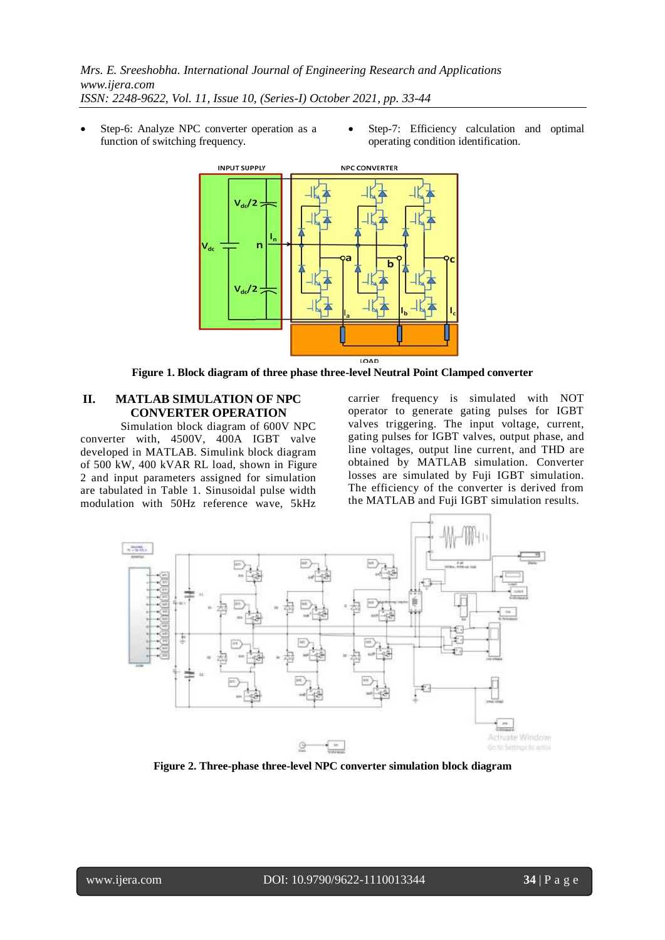- Step-6: Analyze NPC converter operation as a function of switching frequency.
- Step-7: Efficiency calculation and optimal operating condition identification.



**Figure 1. Block diagram of three phase three-level Neutral Point Clamped converter**

## **II. MATLAB SIMULATION OF NPC CONVERTER OPERATION**

Simulation block diagram of 600V NPC converter with, 4500V, 400A IGBT valve developed in MATLAB. Simulink block diagram of 500 kW, 400 kVAR RL load, shown in Figure 2 and input parameters assigned for simulation are tabulated in Table 1. Sinusoidal pulse width modulation with 50Hz reference wave, 5kHz

carrier frequency is simulated with NOT operator to generate gating pulses for IGBT valves triggering. The input voltage, current, gating pulses for IGBT valves, output phase, and line voltages, output line current, and THD are obtained by MATLAB simulation. Converter losses are simulated by Fuji IGBT simulation. The efficiency of the converter is derived from the MATLAB and Fuji IGBT simulation results.



**Figure 2. Three-phase three-level NPC converter simulation block diagram**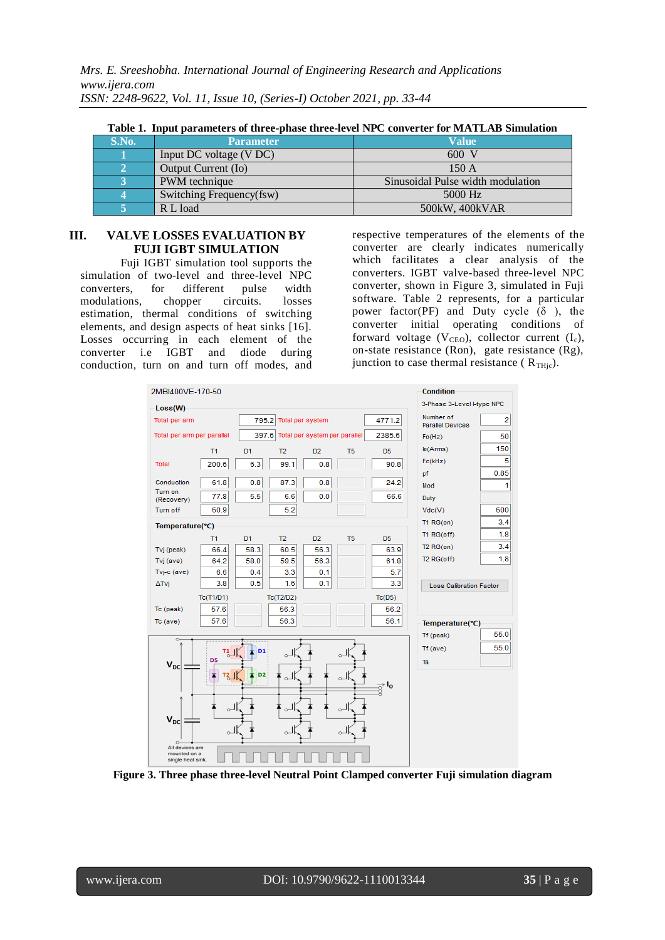|  |  | Table 1. Input parameters of three-phase three-level NPC converter for MATLAB Simulation |  |  |  |  |  |  |  |  |  |
|--|--|------------------------------------------------------------------------------------------|--|--|--|--|--|--|--|--|--|
|--|--|------------------------------------------------------------------------------------------|--|--|--|--|--|--|--|--|--|

| S.No. | <b>Parameter</b>         | <b>Value</b>                      |
|-------|--------------------------|-----------------------------------|
|       | Input DC voltage (V DC)  | $600 \text{ V}$                   |
|       | Output Current (Io)      | 150A                              |
|       | PWM technique            | Sinusoidal Pulse width modulation |
|       | Switching Frequency(fsw) | 5000 Hz                           |
|       | R L load                 | 500kW, 400kVAR                    |

## **III. VALVE LOSSES EVALUATION BY FUJI IGBT SIMULATION**

Fuji IGBT simulation tool supports the simulation of two-level and three-level NPC converters, for different pulse width modulations, chopper circuits. losses estimation, thermal conditions of switching elements, and design aspects of heat sinks [16]. Losses occurring in each element of the converter i.e IGBT and diode during conduction, turn on and turn off modes, and

respective temperatures of the elements of the converter are clearly indicates numerically which facilitates a clear analysis of the converters. IGBT valve-based three-level NPC converter, shown in Figure 3, simulated in Fuji software. Table 2 represents, for a particular power factor(PF) and Duty cycle  $(\delta)$ , the converter initial operating conditions of forward voltage  $(V_{\text{CEO}})$ , collector current  $(I_c)$ , on-state resistance (Ron), gate resistance (Rg), junction to case thermal resistance ( $R_{THic}$ ).



**Figure 3. Three phase three-level Neutral Point Clamped converter Fuji simulation diagram**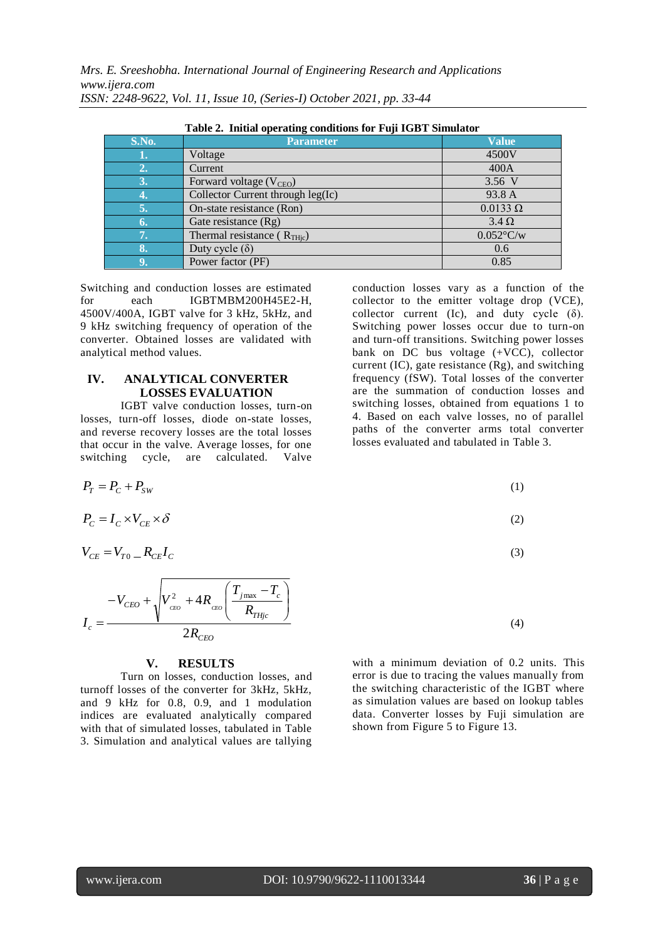| Table 2. Initial operating conditions for Fuji IGBT Simulator |                                     |                 |  |  |  |  |  |  |
|---------------------------------------------------------------|-------------------------------------|-----------------|--|--|--|--|--|--|
| <b>S.No.</b>                                                  | <b>Parameter</b>                    | <b>Value</b>    |  |  |  |  |  |  |
|                                                               | Voltage                             | 4500V           |  |  |  |  |  |  |
| 2.                                                            | Current                             | 400A            |  |  |  |  |  |  |
| 3.                                                            | Forward voltage (V <sub>CEO</sub> ) | 3.56 V          |  |  |  |  |  |  |
| Y)                                                            | Collector Current through leg(Ic)   | 93.8 A          |  |  |  |  |  |  |
| 5.                                                            | On-state resistance (Ron)           | $0.0133 \Omega$ |  |  |  |  |  |  |
| 6.                                                            | Gate resistance (Rg)                | $3.4 \Omega$    |  |  |  |  |  |  |
| 7.                                                            | Thermal resistance ( $R_{THic}$ )   | $0.052$ °C/w    |  |  |  |  |  |  |
| 8.                                                            | Duty cycle $(\delta)$               | 0.6             |  |  |  |  |  |  |
|                                                               | Power factor (PF)                   | 0.85            |  |  |  |  |  |  |

Switching and conduction losses are estimated for each IGBTMBM200H45E2-H, 4500V/400A, IGBT valve for 3 kHz, 5kHz, and 9 kHz switching frequency of operation of the converter. Obtained losses are validated with analytical method values.

## **IV. ANALYTICAL CONVERTER LOSSES EVALUATION**

IGBT valve conduction losses, turn-on losses, turn-off losses, diode on-state losses, and reverse recovery losses are the total losses that occur in the valve. Average losses, for one switching cycle, are calculated. Valve

conduction losses vary as a function of the collector to the emitter voltage drop (VCE), collector current (Ic), and duty cycle  $(\delta)$ . Switching power losses occur due to turn-on and turn-off transitions. Switching power losses bank on DC bus voltage (+VCC), collector current (IC), gate resistance (Rg), and switching frequency (fSW). Total losses of the converter are the summation of conduction losses and switching losses, obtained from equations 1 to 4. Based on each valve losses, no of parallel paths of the converter arms total converter losses evaluated and tabulated in Table 3.

$$
P_T = P_C + P_{SW}
$$
  
\n
$$
P_C = I_C \times V_{CE} \times \delta
$$
  
\n
$$
V_{CE} = V_{T0} - R_{CE}I_C
$$
  
\n(3)

 $2R$ <sub>CEO</sub> *THjc*  $j$  max  $\overline{\phantom{a}}$   $\overline{\phantom{a}}$   $\overline{\phantom{a}}$   $\overline{\phantom{a}}$  $-V_{CEO} + \sqrt{V_{ceo}^2 + 4R_{ceo}} \left( \frac{I_{jmax}}{R} \right)$ *c R*  $T_{i_{\text{max}}} - T$ *I*  $\overline{\phantom{a}}$  $\overline{\phantom{a}}$ J )  $\mathsf{I}$  $\mathsf{I}$  $\setminus$  $\bigl(\,T_{\,\mathrm{\scriptscriptstyle imax}}\,-\,$  $=$  (4)

#### **V. RESULTS**

Turn on losses, conduction losses, and turnoff losses of the converter for 3kHz, 5kHz, and 9 kHz for 0.8, 0.9, and 1 modulation indices are evaluated analytically compared with that of simulated losses, tabulated in Table 3. Simulation and analytical values are tallying

with a minimum deviation of 0.2 units. This error is due to tracing the values manually from the switching characteristic of the IGBT where as simulation values are based on lookup tables data. Converter losses by Fuji simulation are shown from Figure 5 to Figure 13.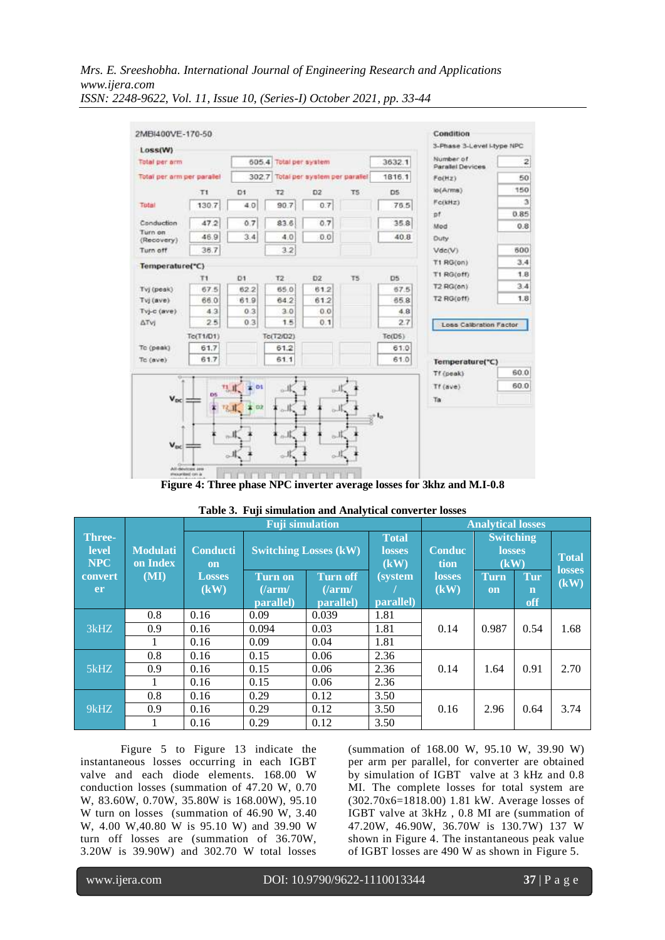

**Figure 4: Three phase NPC inverter average losses for 3khz and M.I-0.8**

|                                             |                             |                              | <b>Analytical losses</b>              |                                        |                              |                       |                                           |                           |                       |
|---------------------------------------------|-----------------------------|------------------------------|---------------------------------------|----------------------------------------|------------------------------|-----------------------|-------------------------------------------|---------------------------|-----------------------|
| <b>Three-</b><br><b>level</b><br><b>NPC</b> | <b>Modulati</b><br>on Index | <b>Conducti</b><br><b>on</b> |                                       | <b>Switching Losses (kW)</b>           |                              | <b>Conduc</b><br>tion | <b>Switching</b><br><b>losses</b><br>(kW) |                           | <b>Total</b>          |
| convert<br>er                               | (MI)                        | <b>Losses</b><br>(kW)        | <b>Turn on</b><br>(larm)<br>parallel) | <b>Turn off</b><br>(larm/<br>parallel) | <i>(system)</i><br>parallel) | <b>losses</b><br>(kW) | <b>Turn</b><br><b>on</b>                  | Tur<br>$\mathbf n$<br>off | <b>losses</b><br>(kW) |
|                                             | 0.8                         | 0.16                         | 0.09                                  | 0.039                                  | 1.81                         |                       | 0.987                                     | 0.54                      | 1.68                  |
| 3kHz                                        | 0.9                         | 0.16                         | 0.094                                 | 0.03                                   | 1.81                         | 0.14                  |                                           |                           |                       |
|                                             |                             | 0.16                         | 0.09                                  | 0.04                                   | 1.81                         |                       |                                           |                           |                       |
|                                             | 0.8                         | 0.16                         | 0.15                                  | 0.06                                   | 2.36                         |                       | 1.64                                      | 0.91                      | 2.70                  |
| 5kHZ                                        | 0.9                         | 0.16                         | 0.15                                  | 0.06                                   | 2.36                         | 0.14                  |                                           |                           |                       |
|                                             |                             | 0.16                         | 0.15                                  | 0.06                                   | 2.36                         |                       |                                           |                           |                       |
| $9k$ HZ                                     | 0.8                         | 0.16                         | 0.29                                  | 0.12                                   | 3.50                         |                       |                                           |                           |                       |
|                                             | 0.9                         | 0.16                         | 0.29                                  | 0.12                                   | 3.50                         | 0.16                  | 2.96                                      | 0.64                      | 3.74                  |
|                                             |                             | 0.16                         | 0.29                                  | 0.12                                   | 3.50                         |                       |                                           |                           |                       |

| Table 3. Fuji simulation and Analytical converter losses |  |
|----------------------------------------------------------|--|
|                                                          |  |

Figure 5 to Figure 13 indicate the instantaneous losses occurring in each IGBT valve and each diode elements. 168.00 W conduction losses (summation of 47.20 W, 0.70 W, 83.60W, 0.70W, 35.80W is 168.00W), 95.10 W turn on losses (summation of 46.90 W, 3.40 W, 4.00 W,40.80 W is 95.10 W) and 39.90 W turn off losses are (summation of 36.70W, 3.20W is 39.90W) and 302.70 W total losses (summation of 168.00 W, 95.10 W, 39.90 W) per arm per parallel, for converter are obtained by simulation of IGBT valve at 3 kHz and 0.8 MI. The complete losses for total system are (302.70x6=1818.00) 1.81 kW. Average losses of IGBT valve at 3kHz , 0.8 MI are (summation of 47.20W, 46.90W, 36.70W is 130.7W) 137 W shown in Figure 4. The instantaneous peak value of IGBT losses are 490 W as shown in Figure 5.

l

www.ijera.com DOI: 10.9790/9622-1110013344 **37** | P a g e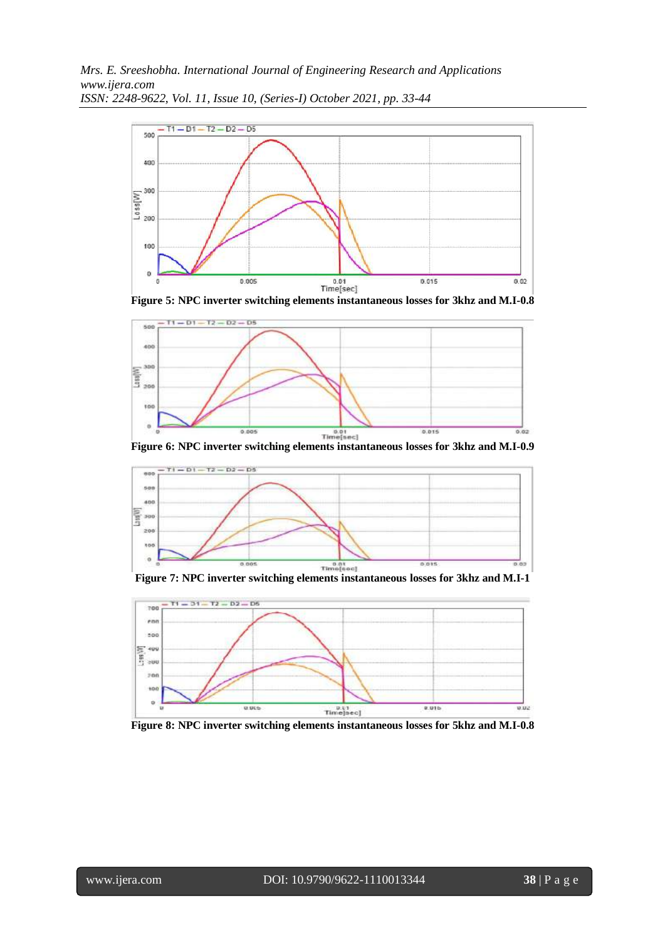

**Figure 5: NPC inverter switching elements instantaneous losses for 3khz and M.I-0.8**



**Figure 6: NPC inverter switching elements instantaneous losses for 3khz and M.I-0.9**



**Figure 7: NPC inverter switching elements instantaneous losses for 3khz and M.I-1**



**Figure 8: NPC inverter switching elements instantaneous losses for 5khz and M.I-0.8**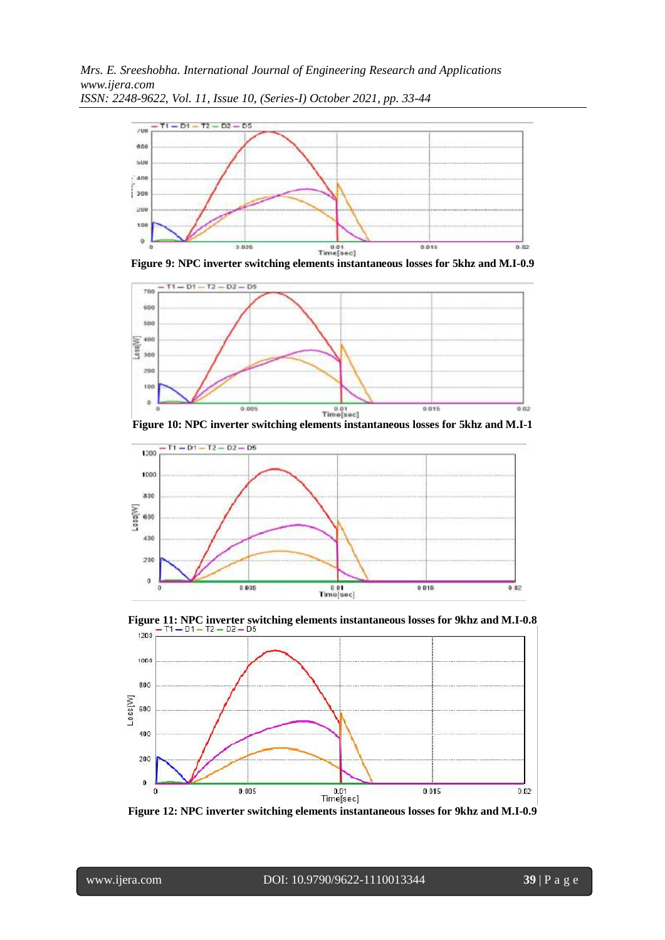





**Figure 10: NPC inverter switching elements instantaneous losses for 5khz and M.I-1**





**Figure 12: NPC inverter switching elements instantaneous losses for 9khz and M.I-0.9**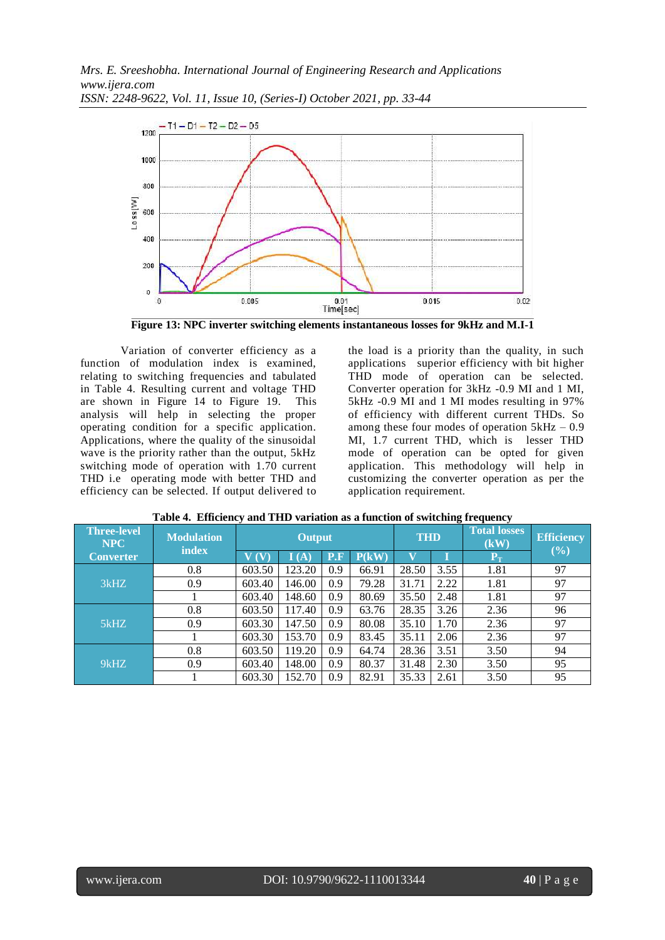

**Figure 13: NPC inverter switching elements instantaneous losses for 9kHz and M.I-1**

Variation of converter efficiency as a function of modulation index is examined, relating to switching frequencies and tabulated in Table 4. Resulting current and voltage THD are shown in Figure 14 to Figure 19. This analysis will help in selecting the proper operating condition for a specific application. Applications, where the quality of the sinusoidal wave is the priority rather than the output, 5kHz switching mode of operation with 1.70 current THD i.e operating mode with better THD and efficiency can be selected. If output delivered to

the load is a priority than the quality, in such applications superior efficiency with bit higher THD mode of operation can be selected. Converter operation for 3kHz -0.9 MI and 1 MI, 5kHz -0.9 MI and 1 MI modes resulting in 97% of efficiency with different current THDs. So among these four modes of operation  $5kHz - 0.9$ MI, 1.7 current THD, which is lesser THD mode of operation can be opted for given application. This methodology will help in customizing the converter operation as per the application requirement.

| <b>Three-level</b><br><b>NPC</b> | <b>Modulation</b><br><b>index</b> | <b>Output</b> |                          |     |       | <b>THD</b> |      | <b>Total losses</b><br>(kW) | <b>Efficiency</b><br>(%) |  |
|----------------------------------|-----------------------------------|---------------|--------------------------|-----|-------|------------|------|-----------------------------|--------------------------|--|
| <b>Converter</b>                 |                                   |               | $\mathbf{I}(\mathbf{A})$ | P.F | P(kW) |            |      | ${\bf P}_{\rm T}$           |                          |  |
|                                  | 0.8                               | 603.50        | 123.20                   | 0.9 | 66.91 | 28.50      | 3.55 | 1.81                        | 97                       |  |
| 3kHz                             | 0.9                               | 603.40        | 146.00                   | 0.9 | 79.28 | 31.71      | 2.22 | 1.81                        | 97                       |  |
|                                  |                                   | 603.40        | 148.60                   | 0.9 | 80.69 | 35.50      | 2.48 | 1.81                        | 97                       |  |
|                                  | 0.8                               | 603.50        | 117.40                   | 0.9 | 63.76 | 28.35      | 3.26 | 2.36                        | 96                       |  |
| 5kHz                             | 0.9                               | 603.30        | 147.50                   | 0.9 | 80.08 | 35.10      | 1.70 | 2.36                        | 97                       |  |
|                                  |                                   | 603.30        | 153.70                   | 0.9 | 83.45 | 35.11      | 2.06 | 2.36                        | 97                       |  |
|                                  | 0.8                               | 603.50        | 119.20                   | 0.9 | 64.74 | 28.36      | 3.51 | 3.50                        | 94                       |  |
| $9k$ HZ                          | 0.9                               | 603.40        | 148.00                   | 0.9 | 80.37 | 31.48      | 2.30 | 3.50                        | 95                       |  |
|                                  |                                   | 603.30        | 152.70                   | 0.9 | 82.91 | 35.33      | 2.61 | 3.50                        | 95                       |  |

|  |  | Table 4. Efficiency and THD variation as a function of switching frequency |  |
|--|--|----------------------------------------------------------------------------|--|
|  |  |                                                                            |  |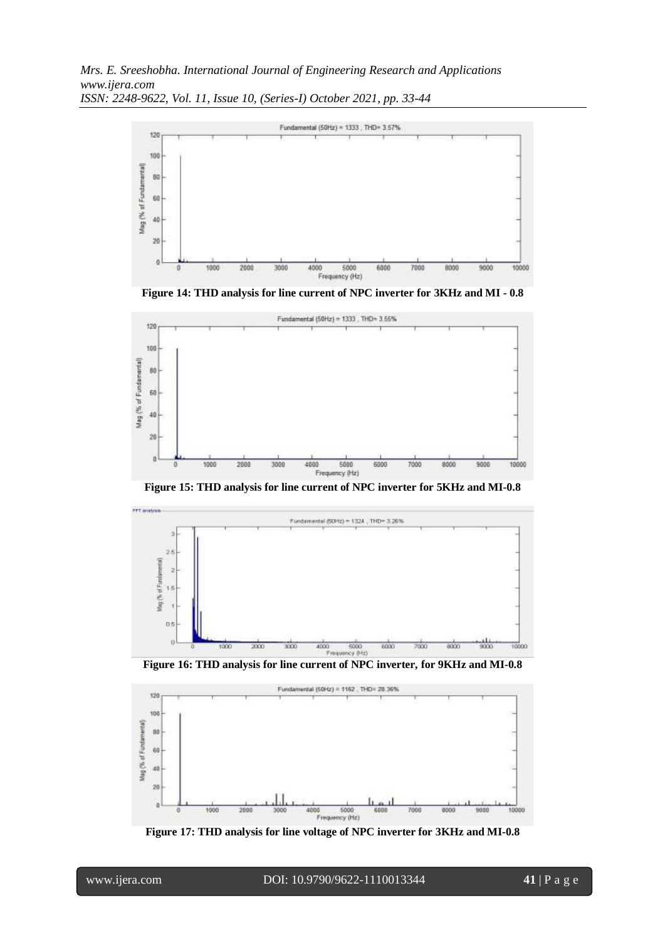

**Figure 14: THD analysis for line current of NPC inverter for 3KHz and MI - 0.8**



**Figure 15: THD analysis for line current of NPC inverter for 5KHz and MI-0.8**





**Figure 17: THD analysis for line voltage of NPC inverter for 3KHz and MI-0.8**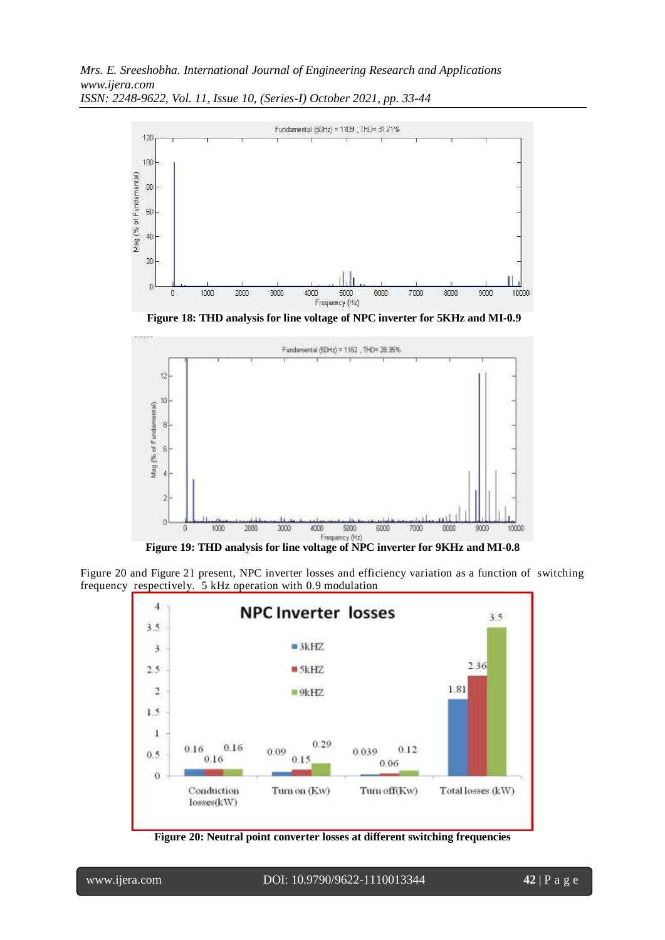

**Figure 18: THD analysis for line voltage of NPC inverter for 5KHz and MI-0.9**



**Figure 19: THD analysis for line voltage of NPC inverter for 9KHz and MI-0.8**

Figure 20 and Figure 21 present, NPC inverter losses and efficiency variation as a function of switching frequency respectively. 5 kHz operation with 0.9 modulation



**Figure 20: Neutral point converter losses at different switching frequencies**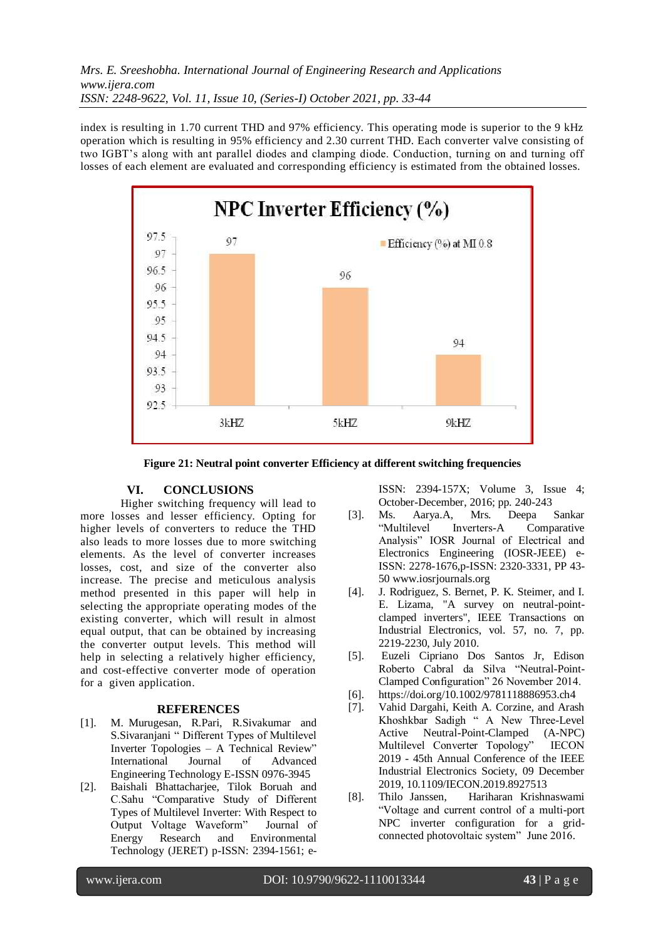index is resulting in 1.70 current THD and 97% efficiency. This operating mode is superior to the 9 kHz operation which is resulting in 95% efficiency and 2.30 current THD. Each converter valve consisting of two IGBT's along with ant parallel diodes and clamping diode. Conduction, turning on and turning off losses of each element are evaluated and corresponding efficiency is estimated from the obtained losses.



**Figure 21: Neutral point converter Efficiency at different switching frequencies**

### **VI. CONCLUSIONS**

Higher switching frequency will lead to more losses and lesser efficiency. Opting for higher levels of converters to reduce the THD also leads to more losses due to more switching elements. As the level of converter increases losses, cost, and size of the converter also increase. The precise and meticulous analysis method presented in this paper will help in selecting the appropriate operating modes of the existing converter, which will result in almost equal output, that can be obtained by increasing the converter output levels. This method will help in selecting a relatively higher efficiency, and cost-effective converter mode of operation for a given application.

#### **REFERENCES**

- [1]. M. Murugesan, R.Pari, R.Sivakumar and S.Sivaranjani " Different Types of Multilevel Inverter Topologies – A Technical Review" International Journal of Advanced Engineering Technology E-ISSN 0976-3945
- [2]. Baishali Bhattacharjee, Tilok Boruah and C.Sahu "Comparative Study of Different Types of Multilevel Inverter: With Respect to Output Voltage Waveform" Journal of Energy Research and Environmental Technology (JERET) p-ISSN: 2394-1561; e-

ISSN: 2394-157X; Volume 3, Issue 4; October-December, 2016; pp. 240-243

- [3]. Ms. Aarya.A, Mrs. Deepa Sankar "Multilevel Inverters-A Comparative Analysis" IOSR Journal of Electrical and Electronics Engineering (IOSR-JEEE) e-ISSN: 2278-1676,p-ISSN: 2320-3331, PP 43- 50 www.iosrjournals.org
- [4]. J. Rodriguez, S. Bernet, P. K. Steimer, and I. E. Lizama, "A survey on neutral-pointclamped inverters", IEEE Transactions on Industrial Electronics, vol. 57, no. 7, pp. 2219-2230, July 2010.
- [5]. Euzeli Cipriano Dos Santos Jr, Edison Roberto Cabral da Silva "Neutral-Point-Clamped Configuration" 26 November 2014.
- [6]. https://doi.org/10.1002/9781118886953.ch4
- [7]. Vahid Dargahi, Keith A. Corzine, and Arash Khoshkbar Sadigh " A New Three-Level Active Neutral-Point-Clamped (A-NPC) Multilevel Converter Topology" IECON 2019 - 45th Annual Conference of the IEEE Industrial Electronics Society, 09 December 2019, 10.1109/IECON.2019.8927513
- [8]. Thilo Janssen, Hariharan Krishnaswami "Voltage and current control of a multi-port NPC inverter configuration for a gridconnected photovoltaic system" June 2016.